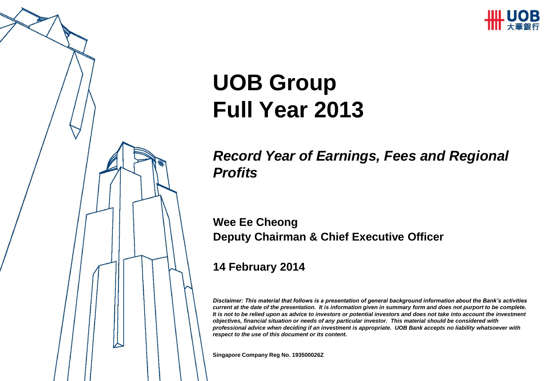

# **UOB Group Full Year 2013**

*Record Year of Earnings, Fees and Regional Profits*

**Wee Ee Cheong Deputy Chairman & Chief Executive Officer**

#### **14 February 2014**

*Disclaimer: This material that follows is a presentation of general background information about the Bank's activities current at the date of the presentation. It is information given in summary form and does not purport to be complete. It is not to be relied upon as advice to investors or potential investors and does not take into account the investment objectives, financial situation or needs of any particular investor. This material should be considered with professional advice when deciding if an investment is appropriate. UOB Bank accepts no liability whatsoever with respect to the use of this document or its content.*

**Singapore Company Reg No. 193500026Z**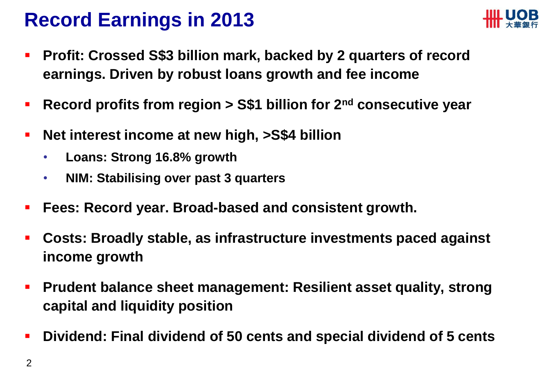### **Record Earnings in 2013**



- **Profit: Crossed S\$3 billion mark, backed by 2 quarters of record earnings. Driven by robust loans growth and fee income**
- **Record profits from region > S\$1 billion for 2<sup>nd</sup> consecutive year**
- **Net interest income at new high, >S\$4 billion**
	- **Loans: Strong 16.8% growth**
	- **NIM: Stabilising over past 3 quarters**
- **Fees: Record year. Broad-based and consistent growth.**
- **Costs: Broadly stable, as infrastructure investments paced against income growth**
- **Prudent balance sheet management: Resilient asset quality, strong capital and liquidity position**
- **Dividend: Final dividend of 50 cents and special dividend of 5 cents**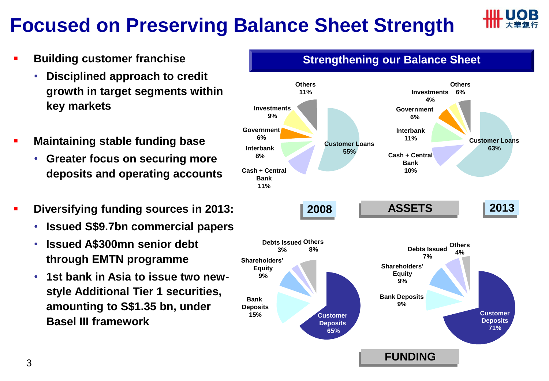## **Focused on Preserving Balance Sheet Strength**



- **Building customer franchise**
	- **Disciplined approach to credit growth in target segments within key markets**
- **Maintaining stable funding base**
	- **Greater focus on securing more deposits and operating accounts**
- **Diversifying funding sources in 2013:**
	- **Issued S\$9.7bn commercial papers**
	- **Issued A\$300mn senior debt through EMTN programme**
	- **1st bank in Asia to issue two newstyle Additional Tier 1 securities, amounting to S\$1.35 bn, under Basel III framework**

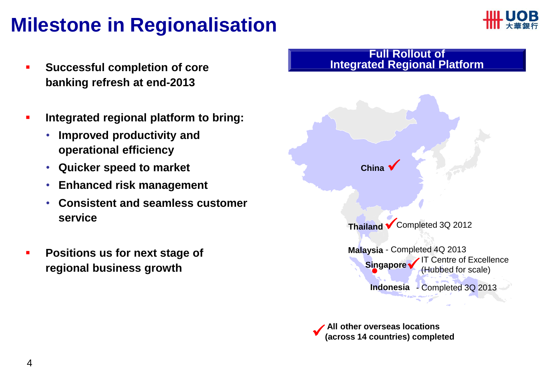### **Milestone in Regionalisation**



- **Successful completion of core banking refresh at end-2013**
- **Integrated regional platform to bring:** 
	- **Improved productivity and operational efficiency**
	- **Quicker speed to market**
	- **Enhanced risk management**
	- **Consistent and seamless customer service**
- **Positions us for next stage of regional business growth**



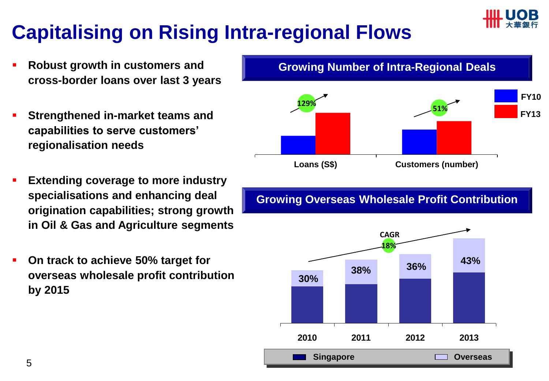

## **Capitalising on Rising Intra-regional Flows**

- **Robust growth in customers and cross-border loans over last 3 years**
- **Strengthened in-market teams and capabilities to serve customers' regionalisation needs**
- **Extending coverage to more industry specialisations and enhancing deal origination capabilities; strong growth in Oil & Gas and Agriculture segments**
- **On track to achieve 50% target for overseas wholesale profit contribution by 2015**



### **Growing Number of Intra-Regional Deals**

### **Growing Overseas Wholesale Profit Contribution**

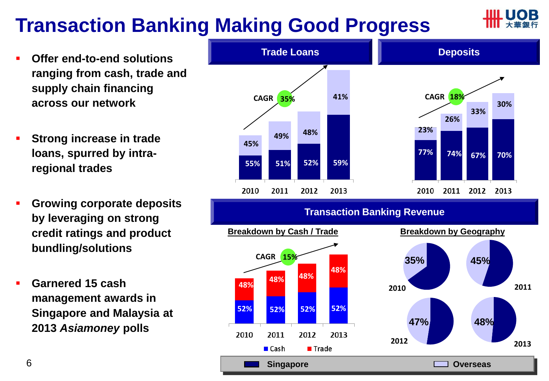### **Transaction Banking Making Good Progress**

- **Offer end-to-end solutions ranging from cash, trade and supply chain financing across our network**
- **Strong increase in trade loans, spurred by intraregional trades**
- **Growing corporate deposits by leveraging on strong credit ratings and product bundling/solutions**
- **Garnered 15 cash management awards in Singapore and Malaysia at 2013** *Asiamoney* **polls**

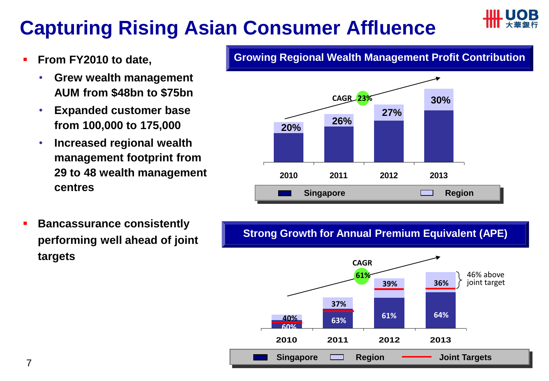## **Capturing Rising Asian Consumer Affluence**



- **From FY2010 to date,** 
	- **Grew wealth management AUM from \$48bn to \$75bn**
	- **Expanded customer base from 100,000 to 175,000**
	- **Increased regional wealth management footprint from 29 to 48 wealth management centres**

**Growing Regional Wealth Management Profit Contribution**



 **Bancassurance consistently performing well ahead of joint targets** 

**Strong Growth for Annual Premium Equivalent (APE)**